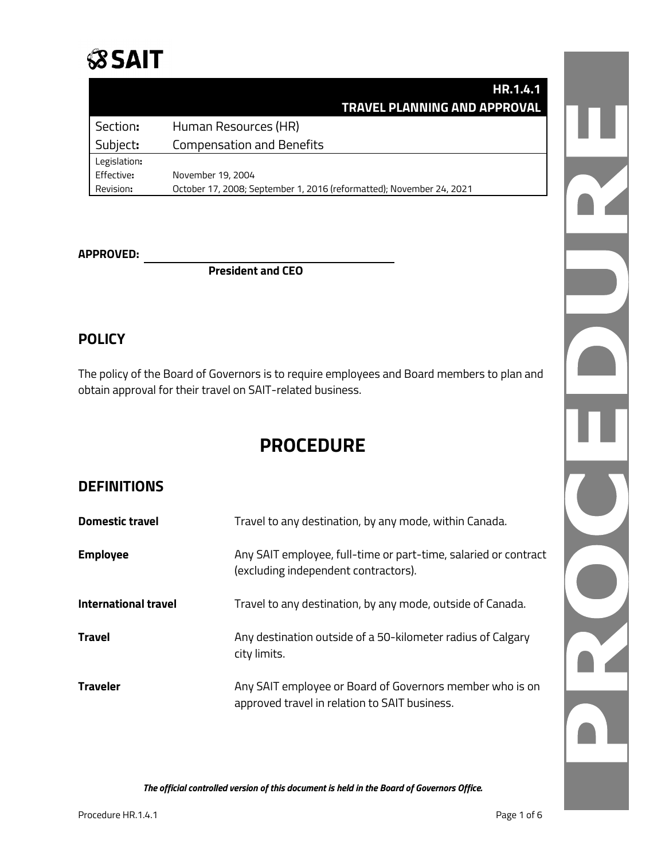

|              | <b>HR.1.4.1</b>                                                      |
|--------------|----------------------------------------------------------------------|
|              | TRAVEL PLANNING AND APPROVAL                                         |
| Section:     | Human Resources (HR)                                                 |
| Subject:     | <b>Compensation and Benefits</b>                                     |
| Legislation: |                                                                      |
| Effective:   | November 19, 2004                                                    |
| Revision:    | October 17, 2008; September 1, 2016 (reformatted); November 24, 2021 |

#### **APPROVED:**

**President and CEO**

## **POLICY**

The policy of the Board of Governors is to require employees and Board members to plan and obtain approval for their travel on SAIT-related business.

## **PROCEDURE**

### **DEFINITIONS**

| <b>Domestic travel</b>      | Travel to any destination, by any mode, within Canada.                                                    |
|-----------------------------|-----------------------------------------------------------------------------------------------------------|
| <b>Employee</b>             | Any SAIT employee, full-time or part-time, salaried or contract<br>(excluding independent contractors).   |
| <b>International travel</b> | Travel to any destination, by any mode, outside of Canada.                                                |
| Travel                      | Any destination outside of a 50-kilometer radius of Calgary<br>city limits.                               |
| <b>Traveler</b>             | Any SAIT employee or Board of Governors member who is on<br>approved travel in relation to SAIT business. |

R N<br>N<br>N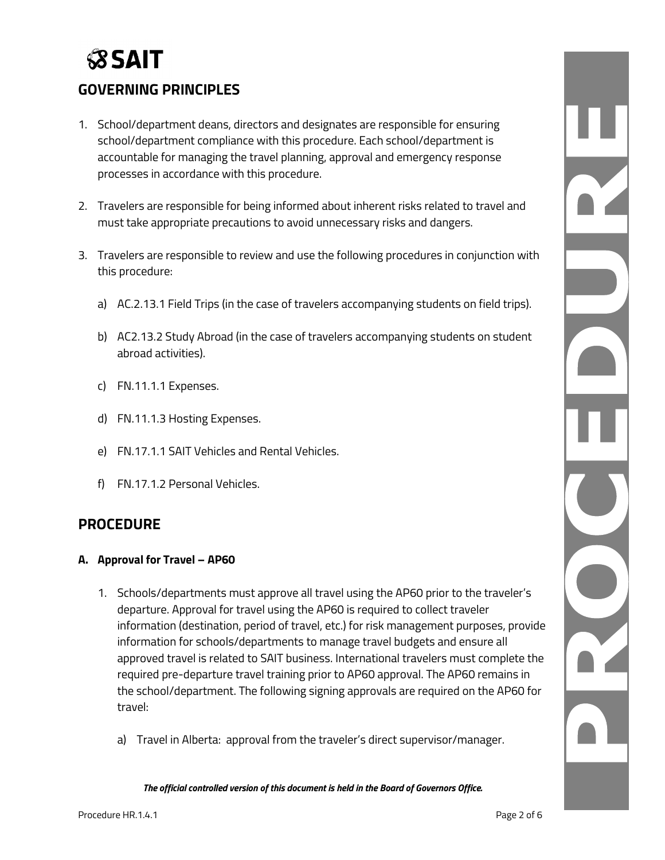# **SSAIT**

## **GOVERNING PRINCIPLES**

- 1. School/department deans, directors and designates are responsible for ensuring school/department compliance with this procedure. Each school/department is accountable for managing the travel planning, approval and emergency response processes in accordance with this procedure.
- 2. Travelers are responsible for being informed about inherent risks related to travel and must take appropriate precautions to avoid unnecessary risks and dangers.
- 3. Travelers are responsible to review and use the following procedures in conjunction with this procedure:
	- a) AC.2.13.1 Field Trips (in the case of travelers accompanying students on field trips).
	- b) AC2.13.2 Study Abroad (in the case of travelers accompanying students on student abroad activities).
	- c) FN.11.1.1 Expenses.
	- d) FN.11.1.3 Hosting Expenses.
	- e) FN.17.1.1 SAIT Vehicles and Rental Vehicles.
	- f) FN.17.1.2 Personal Vehicles.

## **PROCEDURE**

#### **A. Approval for Travel – AP60**

- 1. Schools/departments must approve all travel using the AP60 prior to the traveler's departure. Approval for travel using the AP60 is required to collect traveler information (destination, period of travel, etc.) for risk management purposes, provide information for schools/departments to manage travel budgets and ensure all approved travel is related to SAIT business. International travelers must complete the required pre-departure travel training prior to AP60 approval. The AP60 remains in the school/department. The following signing approvals are required on the AP60 for travel:
	- a) Travel in Alberta: approval from the traveler's direct supervisor/manager.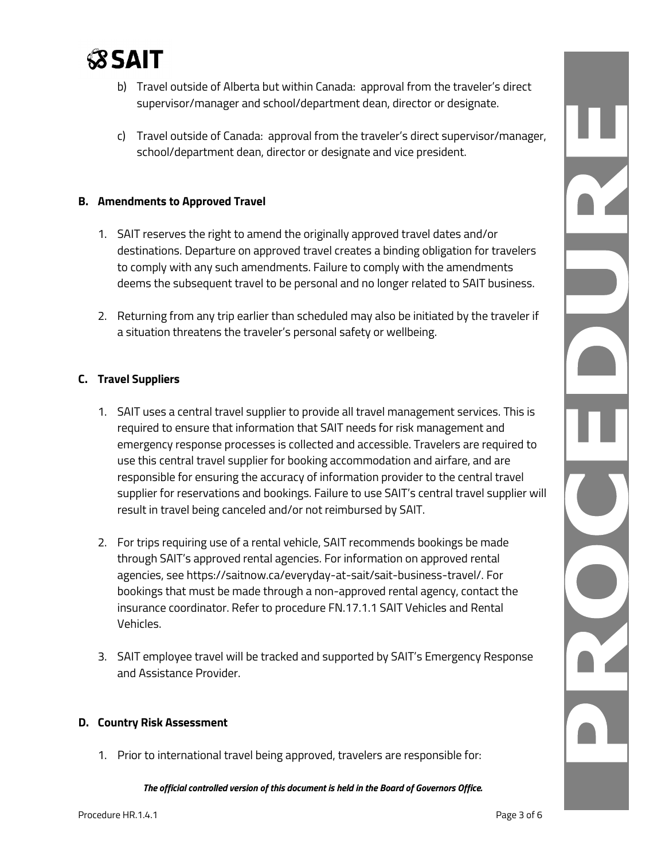

- b) Travel outside of Alberta but within Canada: approval from the traveler's direct supervisor/manager and school/department dean, director or designate.
- c) Travel outside of Canada: approval from the traveler's direct supervisor/manager, school/department dean, director or designate and vice president.

#### **B. Amendments to Approved Travel**

- 1. SAIT reserves the right to amend the originally approved travel dates and/or destinations. Departure on approved travel creates a binding obligation for travelers to comply with any such amendments. Failure to comply with the amendments deems the subsequent travel to be personal and no longer related to SAIT business.
- 2. Returning from any trip earlier than scheduled may also be initiated by the traveler if a situation threatens the traveler's personal safety or wellbeing.

#### **C. Travel Suppliers**

- 1. SAIT uses a central travel supplier to provide all travel management services. This is required to ensure that information that SAIT needs for risk management and emergency response processes is collected and accessible. Travelers are required to use this central travel supplier for booking accommodation and airfare, and are responsible for ensuring the accuracy of information provider to the central travel supplier for reservations and bookings. Failure to use SAIT's central travel supplier will result in travel being canceled and/or not reimbursed by SAIT.
- 2. For trips requiring use of a rental vehicle, SAIT recommends bookings be made through SAIT's approved rental agencies. For information on approved rental agencies, see https://saitnow.ca/everyday-at-sait/sait-business-travel/. For bookings that must be made through a non-approved rental agency, contact the insurance coordinator. Refer to procedure FN.17.1.1 SAIT Vehicles and Rental Vehicles.
- 3. SAIT employee travel will be tracked and supported by SAIT's Emergency Response and Assistance Provider.

#### **D. Country Risk Assessment**

1. Prior to international travel being approved, travelers are responsible for:

*The official controlled version of this document is held in the Board of Governors Office.*

DZ. L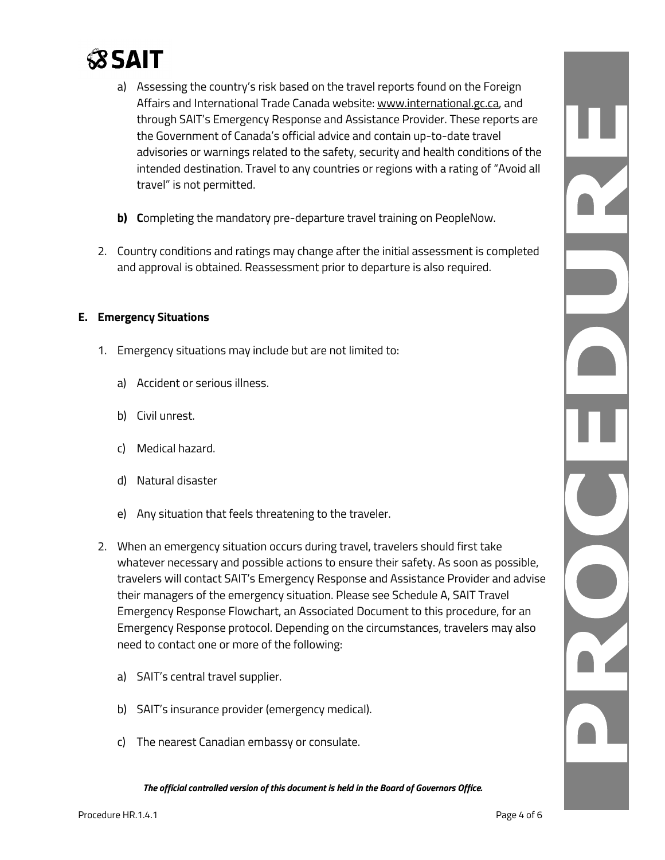

- a) Assessing the country's risk based on the travel reports found on the Foreign Affairs and International Trade Canada website: [www.international.gc.ca,](http://www.international.gc.ca/) and through SAIT's Emergency Response and Assistance Provider. These reports are the Government of Canada's official advice and contain up-to-date travel advisories or warnings related to the safety, security and health conditions of the intended destination. Travel to any countries or regions with a rating of "Avoid all travel" is not permitted.
- **b)** Completing the mandatory pre-departure travel training on PeopleNow.
- 2. Country conditions and ratings may change after the initial assessment is completed and approval is obtained. Reassessment prior to departure is also required.

#### **E. Emergency Situations**

- 1. Emergency situations may include but are not limited to:
	- a) Accident or serious illness.
	- b) Civil unrest.
	- c) Medical hazard.
	- d) Natural disaster
	- e) Any situation that feels threatening to the traveler.
- 2. When an emergency situation occurs during travel, travelers should first take whatever necessary and possible actions to ensure their safety. As soon as possible, travelers will contact SAIT's Emergency Response and Assistance Provider and advise their managers of the emergency situation. Please see Schedule A, SAIT Travel Emergency Response Flowchart, an Associated Document to this procedure, for an Emergency Response protocol. Depending on the circumstances, travelers may also need to contact one or more of the following:
	- a) SAIT's central travel supplier.
	- b) SAIT's insurance provider (emergency medical).
	- c) The nearest Canadian embassy or consulate.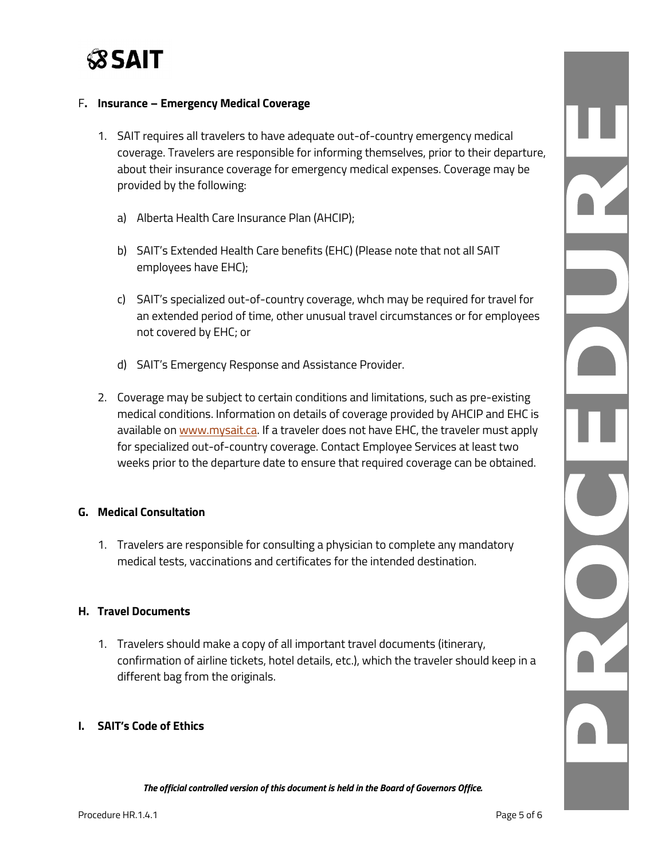

#### F**. Insurance – Emergency Medical Coverage**

- 1. SAIT requires all travelers to have adequate out-of-country emergency medical coverage. Travelers are responsible for informing themselves, prior to their departure, about their insurance coverage for emergency medical expenses. Coverage may be provided by the following:
	- a) Alberta Health Care Insurance Plan (AHCIP);
	- b) SAIT's Extended Health Care benefits (EHC) (Please note that not all SAIT employees have EHC);
	- c) SAIT's specialized out-of-country coverage, whch may be required for travel for an extended period of time, other unusual travel circumstances or for employees not covered by EHC; or
	- d) SAIT's Emergency Response and Assistance Provider.
- 2. Coverage may be subject to certain conditions and limitations, such as pre-existing medical conditions. Information on details of coverage provided by AHCIP and EHC is available on [www.mysait.ca.](https://www.mysait.ca/cp/home/displaylogin) If a traveler does not have EHC, the traveler must apply for specialized out-of-country coverage. Contact Employee Services at least two weeks prior to the departure date to ensure that required coverage can be obtained.

#### **G. Medical Consultation**

1. Travelers are responsible for consulting a physician to complete any mandatory medical tests, vaccinations and certificates for the intended destination.

#### **H. Travel Documents**

1. Travelers should make a copy of all important travel documents (itinerary, confirmation of airline tickets, hotel details, etc.), which the traveler should keep in a different bag from the originals.

#### **I. SAIT's Code of Ethics**

*The official controlled version of this document is held in the Board of Governors Office.*

N R

n Z